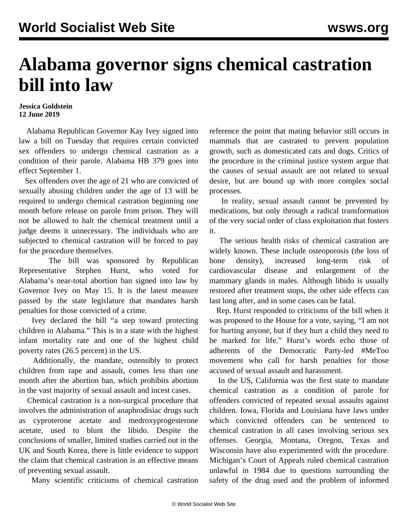## **Alabama governor signs chemical castration bill into law**

## **Jessica Goldstein 12 June 2019**

 Alabama Republican Governor Kay Ivey signed into law a bill on Tuesday that requires certain convicted sex offenders to undergo chemical castration as a condition of their parole. Alabama HB 379 goes into effect September 1.

 Sex offenders over the age of 21 who are convicted of sexually abusing children under the age of 13 will be required to undergo chemical castration beginning one month before release on parole from prison. They will not be allowed to halt the chemical treatment until a judge deems it unnecessary. The individuals who are subjected to chemical castration will be forced to pay for the procedure themselves.

 The bill was sponsored by Republican Representative Stephen Hurst, who voted for Alabama's near-total [abortion ban](/en/articles/2019/05/16/pers-m16.html) signed into law by Governor Ivey on May 15. It is the latest measure passed by the state legislature that mandates harsh penalties for those convicted of a crime.

 Ivey declared the bill "a step toward protecting children in Alabama." This is in a state with the highest infant mortality rate and one of the highest child poverty rates (26.5 percent) in the US.

 Additionally, the mandate, ostensibly to protect children from rape and assault, comes less than one month after the abortion ban, which prohibits abortion in the vast majority of sexual assault and incest cases.

 Chemical castration is a non-surgical procedure that involves the administration of anaphrodisiac drugs such as cyproterone acetate and medroxyprogesterone acetate, used to blunt the libido. Despite the conclusions of smaller, limited studies carried out in the UK and South Korea, there is little evidence to support the claim that chemical castration is an effective means of preventing sexual assault.

Many scientific criticisms of chemical castration

reference the point that mating behavior still occurs in mammals that are castrated to prevent population growth, such as domesticated cats and dogs. Critics of the procedure in the criminal justice system argue that the causes of sexual assault are not related to sexual desire, but are bound up with more complex social processes.

 In reality, sexual assault cannot be prevented by medications, but only through a radical transformation of the very social order of class exploitation that fosters it.

 The serious health risks of chemical castration are widely known. These include osteoporosis (the loss of bone density), increased long-term risk of cardiovascular disease and enlargement of the mammary glands in males. Although libido is usually restored after treatment stops, the other side effects can last long after, and in some cases can be fatal.

 Rep. Hurst responded to criticisms of the bill when it was proposed to the House for a vote, saying, "I am not for hurting anyone, but if they hurt a child they need to be marked for life." Hurst's words echo those of adherents of the Democratic Party-led #MeToo movement who call for harsh penalties for those accused of sexual assault and harassment.

 In the US, California was the first state to mandate chemical castration as a condition of parole for offenders convicted of repeated sexual assaults against children. Iowa, Florida and Louisiana have laws under which convicted offenders can be sentenced to chemical castration in all cases involving serious sex offenses. Georgia, Montana, Oregon, Texas and Wisconsin have also experimented with the procedure. Michigan's Court of Appeals ruled chemical castration unlawful in 1984 due to questions surrounding the safety of the drug used and the problem of informed